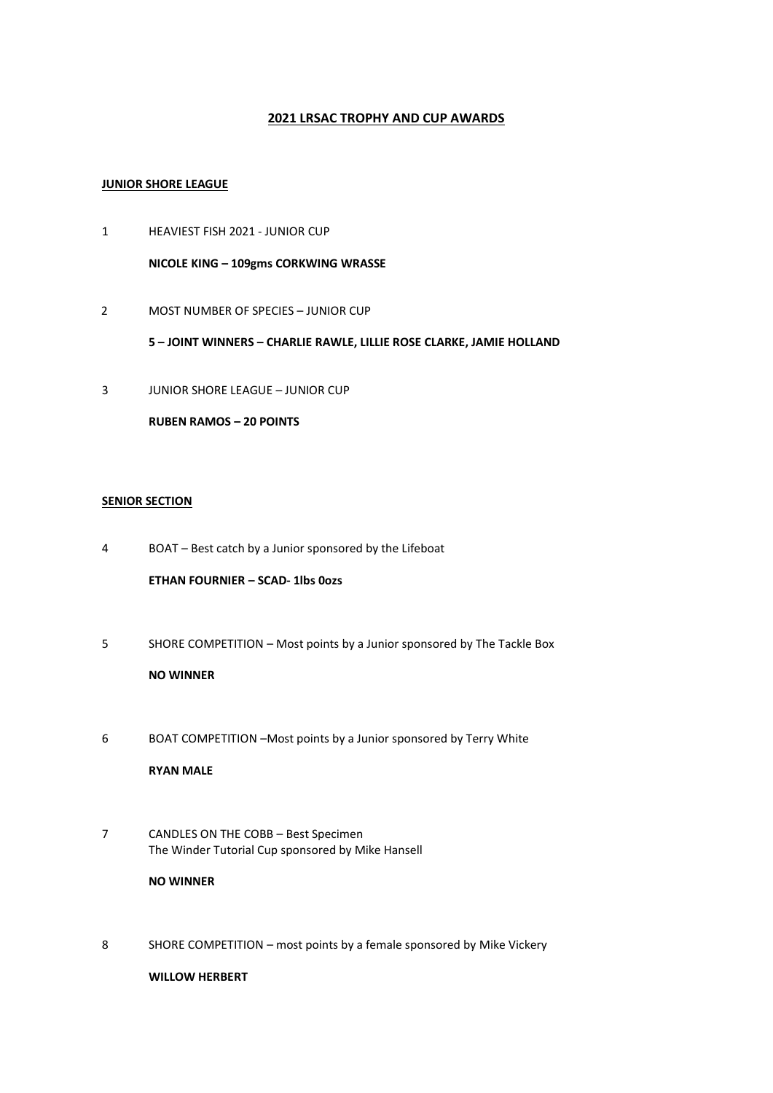# **2021 LRSAC TROPHY AND CUP AWARDS**

## **JUNIOR SHORE LEAGUE**

- 1 HEAVIEST FISH 2021 JUNIOR CUP **NICOLE KING – 109gms CORKWING WRASSE**
- 2 MOST NUMBER OF SPECIES JUNIOR CUP

**5 – JOINT WINNERS – CHARLIE RAWLE, LILLIE ROSE CLARKE, JAMIE HOLLAND**

3 JUNIOR SHORE LEAGUE – JUNIOR CUP

**RUBEN RAMOS – 20 POINTS**

## **SENIOR SECTION**

4 BOAT – Best catch by a Junior sponsored by the Lifeboat

**ETHAN FOURNIER – SCAD- 1lbs 0ozs** 

- 5 SHORE COMPETITION Most points by a Junior sponsored by The Tackle Box **NO WINNER**
- 6 BOAT COMPETITION –Most points by a Junior sponsored by Terry White

**RYAN MALE**

7 CANDLES ON THE COBB – Best Specimen The Winder Tutorial Cup sponsored by Mike Hansell

#### **NO WINNER**

8 SHORE COMPETITION – most points by a female sponsored by Mike Vickery

**WILLOW HERBERT**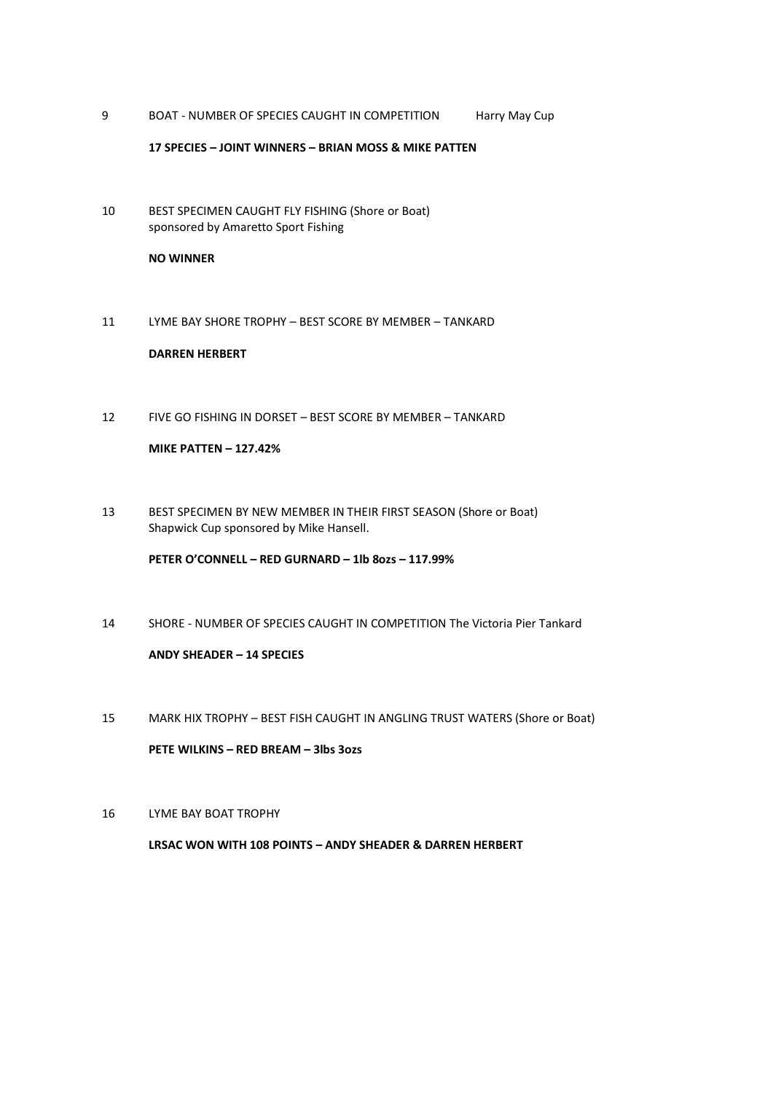9 BOAT - NUMBER OF SPECIES CAUGHT IN COMPETITION Harry May Cup

#### **17 SPECIES – JOINT WINNERS – BRIAN MOSS & MIKE PATTEN**

10 BEST SPECIMEN CAUGHT FLY FISHING (Shore or Boat) sponsored by Amaretto Sport Fishing

### **NO WINNER**

11 LYME BAY SHORE TROPHY – BEST SCORE BY MEMBER – TANKARD

#### **DARREN HERBERT**

12 FIVE GO FISHING IN DORSET – BEST SCORE BY MEMBER – TANKARD

# **MIKE PATTEN – 127.42%**

13 BEST SPECIMEN BY NEW MEMBER IN THEIR FIRST SEASON (Shore or Boat) Shapwick Cup sponsored by Mike Hansell.

**PETER O'CONNELL – RED GURNARD – 1lb 8ozs – 117.99%**

- 14 SHORE NUMBER OF SPECIES CAUGHT IN COMPETITION The Victoria Pier Tankard **ANDY SHEADER – 14 SPECIES**
- 15 MARK HIX TROPHY BEST FISH CAUGHT IN ANGLING TRUST WATERS (Shore or Boat) **PETE WILKINS – RED BREAM – 3lbs 3ozs**
- 16 LYME BAY BOAT TROPHY

**LRSAC WON WITH 108 POINTS – ANDY SHEADER & DARREN HERBERT**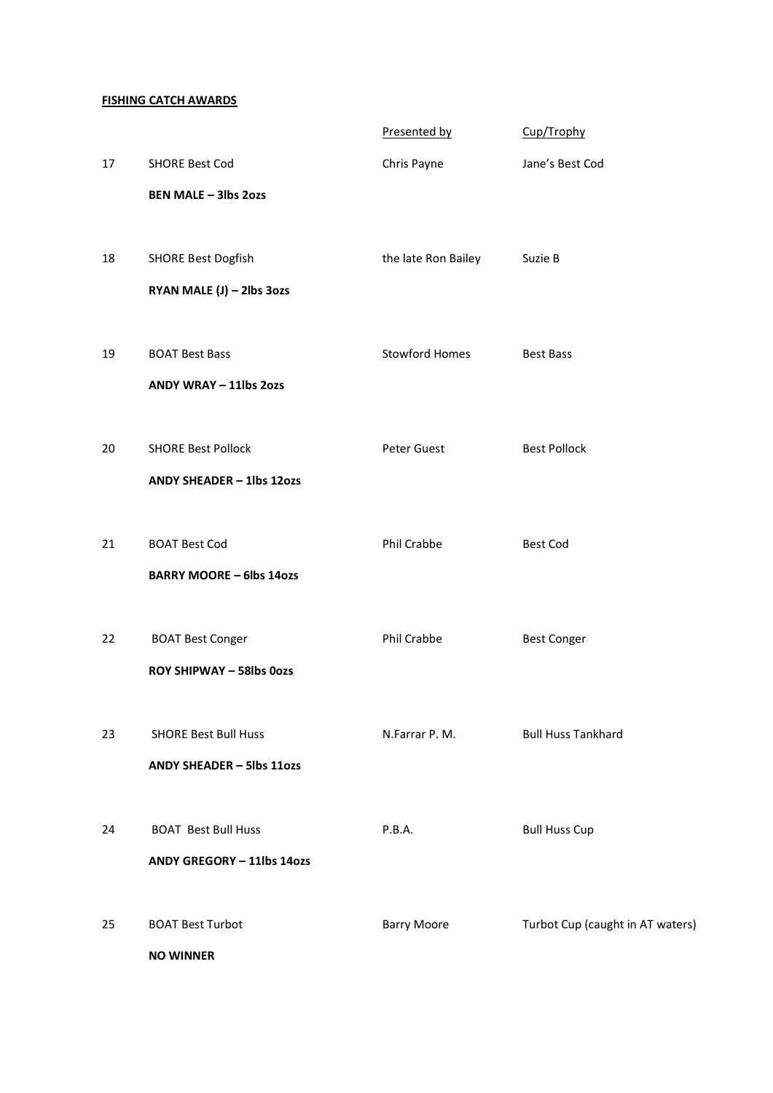## **FISHING CATCH AWARDS**

|    |                                                        | Presented by          | Cup/Trophy                       |
|----|--------------------------------------------------------|-----------------------|----------------------------------|
| 17 | <b>SHORE Best Cod</b>                                  | Chris Payne           | Jane's Best Cod                  |
|    | <b>BEN MALE - 3lbs 2ozs</b>                            |                       |                                  |
|    |                                                        |                       |                                  |
| 18 | <b>SHORE Best Dogfish</b>                              | the late Ron Bailey   | Suzie B                          |
|    | RYAN MALE (J) - 2lbs 3ozs                              |                       |                                  |
|    |                                                        |                       |                                  |
| 19 | <b>BOAT Best Bass</b>                                  | <b>Stowford Homes</b> | <b>Best Bass</b>                 |
|    | ANDY WRAY - 11lbs 2ozs                                 |                       |                                  |
|    |                                                        |                       |                                  |
| 20 | <b>SHORE Best Pollock</b><br>ANDY SHEADER - 1lbs 12ozs | Peter Guest           | <b>Best Pollock</b>              |
|    |                                                        |                       |                                  |
| 21 | <b>BOAT Best Cod</b>                                   | Phil Crabbe           | <b>Best Cod</b>                  |
|    | <b>BARRY MOORE - 6lbs 14ozs</b>                        |                       |                                  |
|    |                                                        |                       |                                  |
| 22 | <b>BOAT Best Conger</b>                                | Phil Crabbe           | <b>Best Conger</b>               |
|    | <b>ROY SHIPWAY - 58lbs 0ozs</b>                        |                       |                                  |
|    |                                                        |                       |                                  |
| 23 | <b>SHORE Best Bull Huss</b>                            | N.Farrar P. M.        | <b>Bull Huss Tankhard</b>        |
|    | ANDY SHEADER - 5lbs 11ozs                              |                       |                                  |
|    |                                                        |                       |                                  |
| 24 | <b>BOAT Best Bull Huss</b>                             | P.B.A.                | <b>Bull Huss Cup</b>             |
|    | ANDY GREGORY - 11lbs 14ozs                             |                       |                                  |
|    |                                                        |                       |                                  |
| 25 | <b>BOAT Best Turbot</b>                                | <b>Barry Moore</b>    | Turbot Cup (caught in AT waters) |
|    | <b>NO WINNER</b>                                       |                       |                                  |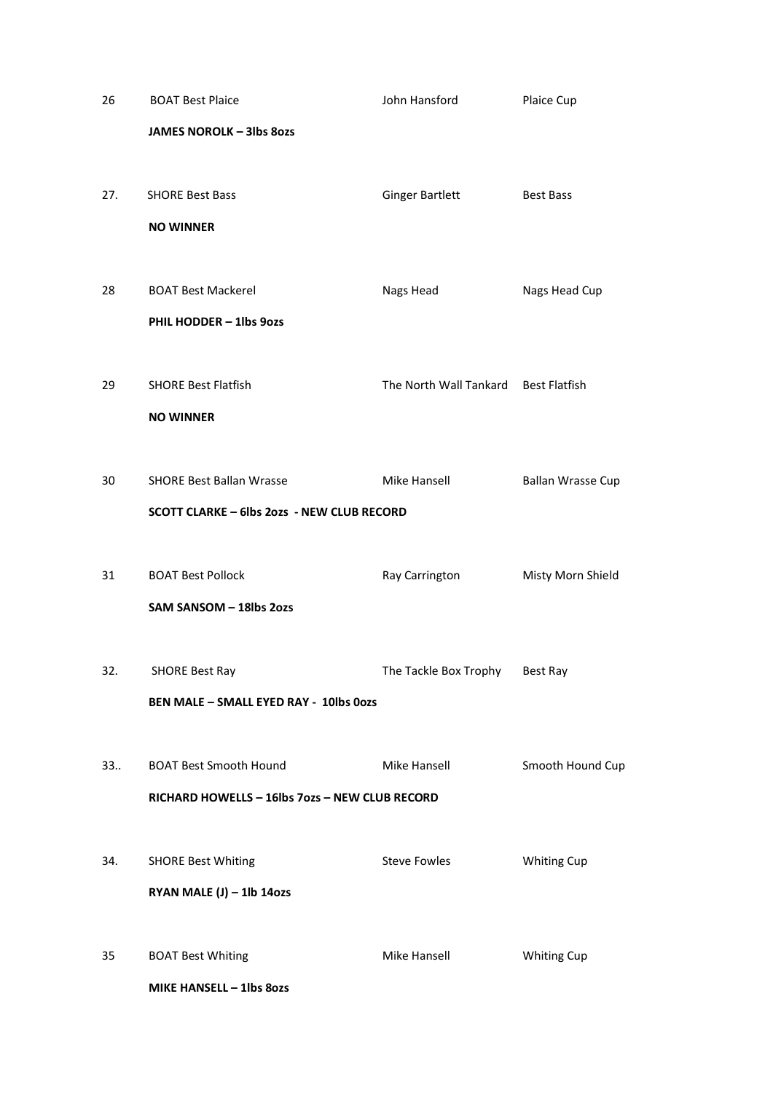| 26  | <b>BOAT Best Plaice</b>                           | John Hansford                        | Plaice Cup               |
|-----|---------------------------------------------------|--------------------------------------|--------------------------|
|     | <b>JAMES NOROLK - 3lbs 80zs</b>                   |                                      |                          |
|     |                                                   |                                      |                          |
| 27. | <b>SHORE Best Bass</b>                            | <b>Ginger Bartlett</b>               | <b>Best Bass</b>         |
|     | <b>NO WINNER</b>                                  |                                      |                          |
|     |                                                   |                                      |                          |
| 28  | <b>BOAT Best Mackerel</b>                         | Nags Head                            | Nags Head Cup            |
|     | PHIL HODDER - 1lbs 9ozs                           |                                      |                          |
|     |                                                   |                                      |                          |
| 29  | <b>SHORE Best Flatfish</b>                        | The North Wall Tankard Best Flatfish |                          |
|     | <b>NO WINNER</b>                                  |                                      |                          |
| 30  | <b>SHORE Best Ballan Wrasse</b>                   | Mike Hansell                         | <b>Ballan Wrasse Cup</b> |
|     | <b>SCOTT CLARKE - 6lbs 2ozs - NEW CLUB RECORD</b> |                                      |                          |
|     |                                                   |                                      |                          |
| 31  | <b>BOAT Best Pollock</b>                          | Ray Carrington                       | Misty Morn Shield        |
|     | SAM SANSOM - 18lbs 2ozs                           |                                      |                          |
|     |                                                   |                                      |                          |
| 32. | <b>SHORE Best Ray</b>                             | The Tackle Box Trophy Best Ray       |                          |
|     | <b>BEN MALE - SMALL EYED RAY - 10lbs 0ozs</b>     |                                      |                          |
|     |                                                   |                                      |                          |
| 33  | <b>BOAT Best Smooth Hound</b>                     | Mike Hansell                         | Smooth Hound Cup         |
|     | RICHARD HOWELLS - 16lbs 7ozs - NEW CLUB RECORD    |                                      |                          |
|     |                                                   |                                      |                          |
| 34. | <b>SHORE Best Whiting</b>                         | <b>Steve Fowles</b>                  | <b>Whiting Cup</b>       |
|     | RYAN MALE $(J) - 1$ lb 14ozs                      |                                      |                          |
|     |                                                   |                                      |                          |
| 35  | <b>BOAT Best Whiting</b>                          | Mike Hansell                         | <b>Whiting Cup</b>       |
|     | MIKE HANSELL - 1lbs 80zs                          |                                      |                          |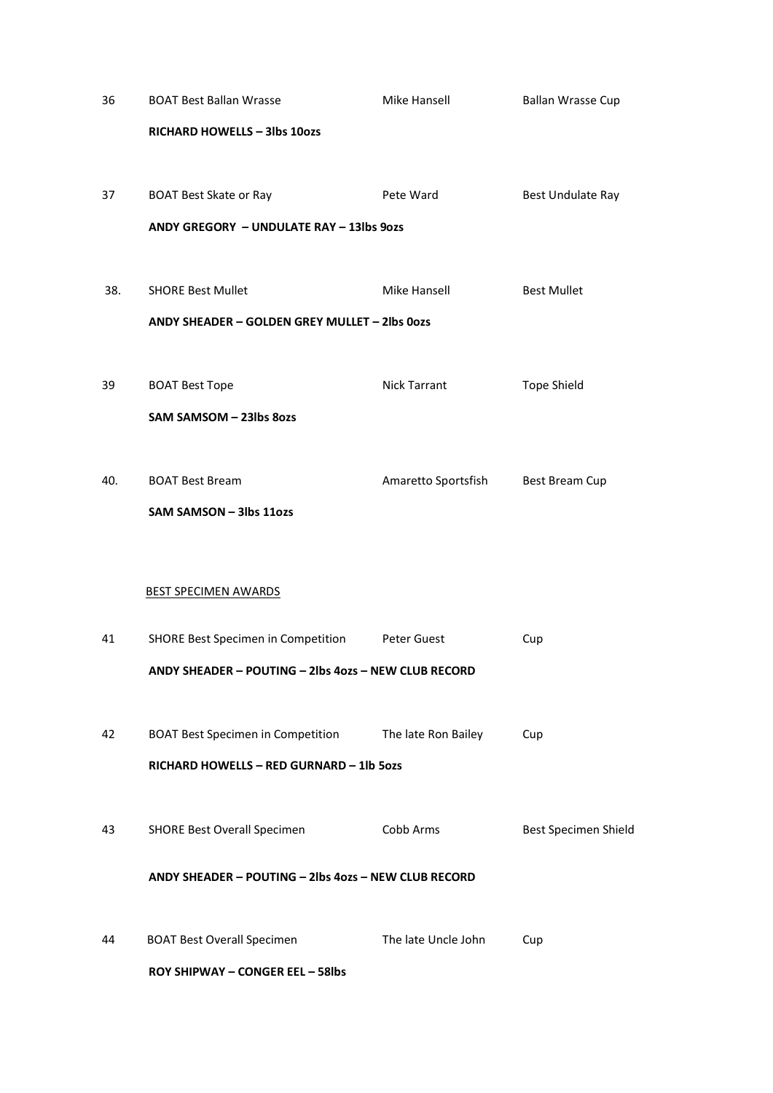| 36  | <b>BOAT Best Ballan Wrasse</b>                        | Mike Hansell        | <b>Ballan Wrasse Cup</b> |
|-----|-------------------------------------------------------|---------------------|--------------------------|
|     | RICHARD HOWELLS - 3lbs 10ozs                          |                     |                          |
|     |                                                       |                     |                          |
| 37  | <b>BOAT Best Skate or Ray</b>                         | Pete Ward           | Best Undulate Ray        |
|     | ANDY GREGORY - UNDULATE RAY - 13lbs 9ozs              |                     |                          |
|     |                                                       |                     |                          |
| 38. | <b>SHORE Best Mullet</b>                              | Mike Hansell        | <b>Best Mullet</b>       |
|     | ANDY SHEADER - GOLDEN GREY MULLET - 2lbs 0ozs         |                     |                          |
| 39  | <b>BOAT Best Tope</b>                                 | Nick Tarrant        | <b>Tope Shield</b>       |
|     | SAM SAMSOM - 23lbs 8ozs                               |                     |                          |
|     |                                                       |                     |                          |
| 40. | <b>BOAT Best Bream</b>                                | Amaretto Sportsfish | <b>Best Bream Cup</b>    |
|     | SAM SAMSON - 3lbs 11ozs                               |                     |                          |
|     |                                                       |                     |                          |
|     |                                                       |                     |                          |
|     | <b>BEST SPECIMEN AWARDS</b>                           |                     |                          |
| 41  | SHORE Best Specimen in Competition                    | Peter Guest         | Cup                      |
|     | ANDY SHEADER - POUTING - 2lbs 4ozs - NEW CLUB RECORD  |                     |                          |
|     |                                                       |                     |                          |
| 42  | BOAT Best Specimen in Competition The late Ron Bailey |                     | Cup                      |
|     | RICHARD HOWELLS - RED GURNARD - 1lb 5ozs              |                     |                          |
|     |                                                       |                     |                          |
| 43  | <b>SHORE Best Overall Specimen</b>                    | Cobb Arms           | Best Specimen Shield     |
|     | ANDY SHEADER - POUTING - 2lbs 4ozs - NEW CLUB RECORD  |                     |                          |
|     |                                                       |                     |                          |
| 44  | <b>BOAT Best Overall Specimen</b>                     | The late Uncle John | Cup                      |
|     | <b>ROY SHIPWAY - CONGER EEL - 58lbs</b>               |                     |                          |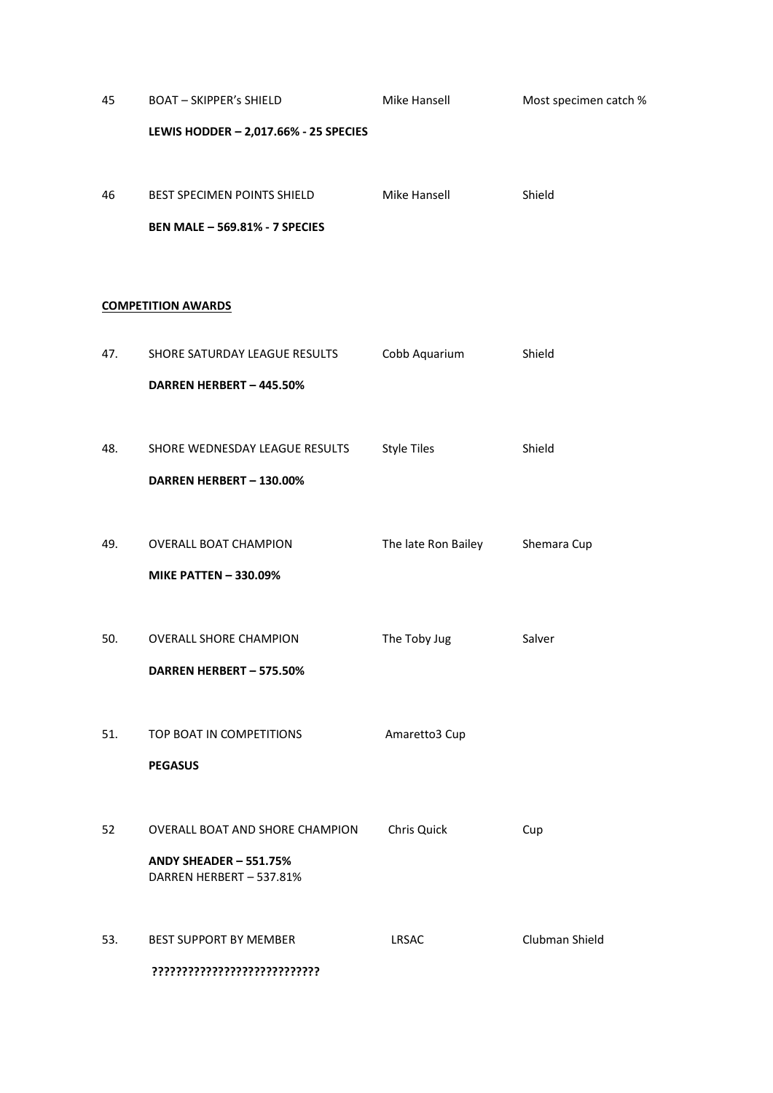| 45  | <b>BOAT - SKIPPER's SHIELD</b>        | Mike Hansell        | Most specimen catch % |
|-----|---------------------------------------|---------------------|-----------------------|
|     | LEWIS HODDER - 2,017.66% - 25 SPECIES |                     |                       |
|     |                                       |                     |                       |
| 46  | BEST SPECIMEN POINTS SHIELD           | Mike Hansell        | Shield                |
|     | <b>BEN MALE - 569.81% - 7 SPECIES</b> |                     |                       |
|     |                                       |                     |                       |
|     |                                       |                     |                       |
|     | <b>COMPETITION AWARDS</b>             |                     |                       |
| 47. | SHORE SATURDAY LEAGUE RESULTS         | Cobb Aquarium       | Shield                |
|     | DARREN HERBERT - 445.50%              |                     |                       |
|     |                                       |                     |                       |
| 48. | SHORE WEDNESDAY LEAGUE RESULTS        | <b>Style Tiles</b>  | Shield                |
|     | DARREN HERBERT - 130.00%              |                     |                       |
|     |                                       |                     |                       |
| 49. | OVERALL BOAT CHAMPION                 | The late Ron Bailey | Shemara Cup           |
|     | <b>MIKE PATTEN - 330.09%</b>          |                     |                       |
|     |                                       |                     |                       |
| 50. | <b>OVERALL SHORE CHAMPION</b>         | The Toby Jug        | Salver                |
|     | DARREN HERBERT - 575.50%              |                     |                       |
|     |                                       |                     |                       |
| 51. | TOP BOAT IN COMPETITIONS              | Amaretto3 Cup       |                       |
|     | <b>PEGASUS</b>                        |                     |                       |
|     |                                       |                     |                       |
| 52  | OVERALL BOAT AND SHORE CHAMPION       | Chris Quick         | Cup                   |
|     | ANDY SHEADER - 551.75%                |                     |                       |
|     | DARREN HERBERT - 537.81%              |                     |                       |
|     |                                       |                     |                       |
| 53. | BEST SUPPORT BY MEMBER                | LRSAC               | Clubman Shield        |
|     | ????????????????????????????          |                     |                       |